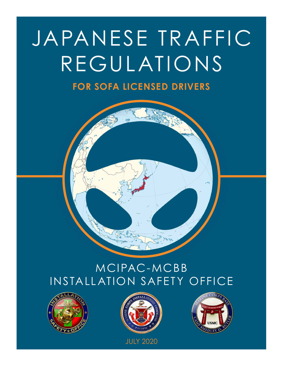## JAPANESE TRAFFIC REGULATIONS

### **FOR SOFA LICENSED DRIVERS**

## MCIPAC-MCBB INSTALLATION SAFETY OFFICE





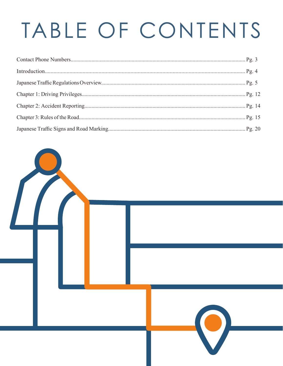# TABLE OF CONTENTS

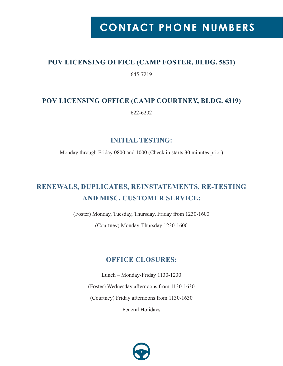## **CONTACT PHONE NUMBERS**

#### **POV LICENSING OFFICE (CAMP FOSTER, BLDG. 5831)**

645-7219

#### **POV LICENSING OFFICE (CAMP COURTNEY, BLDG. 4319)** 622-6202

**INITIAL TESTING:**

Monday through Friday 0800 and 1000 (Check in starts 30 minutes prior)

### **RENEWALS, DUPLICATES, REINSTATEMENTS, RE-TESTING AND MISC. CUSTOMER SERVICE:**

(Foster) Monday, Tuesday, Thursday, Friday from 1230-1600

(Courtney) Monday-Thursday 1230-1600

#### **OFFICE CLOSURES:**

Lunch – Monday-Friday 1130-1230 (Foster) Wednesday afternoons from 1130-1630 (Courtney) Friday afternoons from 1130-1630

Federal Holidays

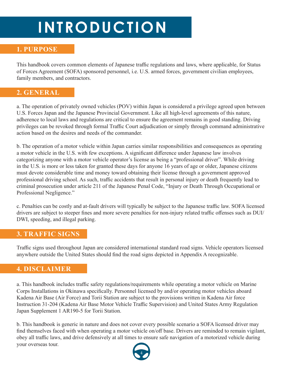## **INTRODUCTION**

#### **1. PURPOSE**

This handbook covers common elements of Japanese traffic regulations and laws, where applicable, for Status of Forces Agreement (SOFA) sponsored personnel, i.e. U.S. armed forces, government civilian employees, family members, and contractors.

#### **2. GENERAL**

a. The operation of privately owned vehicles (POV) within Japan is considered a privilege agreed upon between U.S. Forces Japan and the Japanese Provincial Government. Like all high-level agreements of this nature, adherence to local laws and regulations are critical to ensure the agreement remains in good standing. Driving privileges can be revoked through formal Traffic Court adjudication or simply through command administrative action based on the desires and needs of the commander.

b. The operation of a motor vehicle within Japan carries similar responsibilities and consequences as operating a motor vehicle in the U.S. with few exceptions. A significant difference under Japanese law involves categorizing anyone with a motor vehicle operator's license as being a "professional driver". While driving in the U.S. is more or less taken for granted these days for anyone 16 years of age or older, Japanese citizens must devote considerable time and money toward obtaining their license through a government approved professional driving school. As such, traffic accidents that result in personal injury or death frequently lead to criminal prosecution under article 211 of the Japanese Penal Code, "Injury or Death Through Occupational or Professional Negligence."

c. Penalties can be costly and at-fault drivers will typically be subject to the Japanese traffic law. SOFA licensed drivers are subject to steeper fines and more severe penalties for non-injury related traffic offenses such as DUI/ DWI, speeding, and illegal parking.

#### **3. TRAFFIC SIGNS**

Traffic signs used throughout Japan are considered international standard road signs. Vehicle operators licensed anywhere outside the United States should find the road signs depicted in Appendix A recognizable.

#### **4. DISCLAIMER**

a. This handbook includes traffic safety regulations/requirements while operating a motor vehicle on Marine Corps Installations in Okinawa specifically. Personnel licensed by and/or operating motor vehicles aboard Kadena Air Base (Air Force) and Torii Station are subject to the provisions written in Kadena Air force Instruction 31-204 (Kadena Air Base Motor Vehicle Traffic Supervision) and United States Army Regulation Japan Supplement 1 AR190-5 for Torii Station.

b. This handbook is generic in nature and does not cover every possible scenario a SOFA licensed driver may find themselves faced with when operating a motor vehicle on/off base. Drivers are reminded to remain vigilant, obey all traffic laws, and drive defensively at all times to ensure safe navigation of a motorized vehicle during your overseas tour.

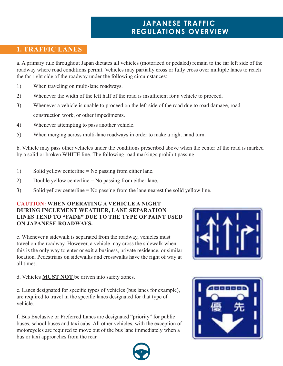#### **1. TRAFFIC LANES**

a. A primary rule throughout Japan dictates all vehicles (motorized or pedaled) remain to the far left side of the roadway where road conditions permit. Vehicles may partially cross or fully cross over multiple lanes to reach the far right side of the roadway under the following circumstances:

- 1) When traveling on multi-lane roadways.
- 2) Whenever the width of the left half of the road is insufficient for a vehicle to proceed.
- 3) Whenever a vehicle is unable to proceed on the left side of the road due to road damage, road construction work, or other impediments.
- 4) Whenever attempting to pass another vehicle.
- 5) When merging across multi-lane roadways in order to make a right hand turn.

b. Vehicle may pass other vehicles under the conditions prescribed above when the center of the road is marked by a solid or broken WHITE line. The following road markings prohibit passing.

- 1) Solid yellow centerline = No passing from either lane.
- 2) Double yellow centerline = No passing from either lane.
- 3) Solid yellow centerline = No passing from the lane nearest the solid yellow line.

#### **CAUTION: WHEN OPERATING A VEHICLE A NIGHT DURING INCLEMENT WEATHER, LANE SEPARATION LINES TEND TO "FADE" DUE TO THE TYPE OF PAINT USED ON JAPANESE ROADWAYS.**

c. Whenever a sidewalk is separated from the roadway, vehicles must travel on the roadway. However, a vehicle may cross the sidewalk when this is the only way to enter or exit a business, private residence, or similar location. Pedestrians on sidewalks and crosswalks have the right of way at all times.

d. Vehicles **MUST NOT** be driven into safety zones.

e. Lanes designated for specific types of vehicles (bus lanes for example), are required to travel in the specific lanes designated for that type of vehicle.

f. Bus Exclusive or Preferred Lanes are designated "priority" for public buses, school buses and taxi cabs. All other vehicles, with the exception of motorcycles are required to move out of the bus lane immediately when a bus or taxi approaches from the rear.





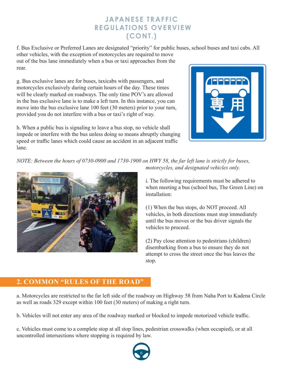f. Bus Exclusive or Preferred Lanes are designated "priority" for public buses, school buses and taxi cabs. All

other vehicles, with the exception of motorcycles are required to move out of the bus lane immediately when a bus or taxi approaches from the rear.

g. Bus exclusive lanes are for buses, taxicabs with passengers, and motorcycles exclusively during certain hours of the day. These times will be clearly marked on roadways. The only time POV's are allowed in the bus exclusive lane is to make a left turn. In this instance, you can move into the bus exclusive lane 100 feet (30 meters) prior to your turn, provided you do not interfere with a bus or taxi's right of way.

h. When a public bus is signaling to leave a bus stop, no vehicle shall impede or interfere with the bus unless doing so means abruptly changing speed or traffic lanes which could cause an accident in an adjacent traffic lane.



*NOTE: Between the hours of 0730-0900 and 1730-1900 on HWY 58, the far left lane is strictly for buses, motorcycles, and designated vehicles only.*



i. The following requirements must be adhered to when meeting a bus (school bus, The Green Line) on installation:

(1) When the bus stops, do NOT proceed. All vehicles, in both directions must stop immediately until the bus moves or the bus driver signals the vehicles to proceed.

(2) Pay close attention to pedestrians (children) disembarking from a bus to ensure they do not attempt to cross the street once the bus leaves the stop.

#### **2. COMMON "RULES OF THE ROAD"**

a. Motorcycles are restricted to the far left side of the roadway on Highway 58 from Naha Port to Kadena Circle as well as roads 329 except within 100 feet (30 meters) of making a right turn.

b. Vehicles will not enter any area of the roadway marked or blocked to impede motorized vehicle traffic.

c. Vehicles must come to a complete stop at all stop lines, pedestrian crosswalks (when occupied), or at all uncontrolled intersections where stopping is required by law.

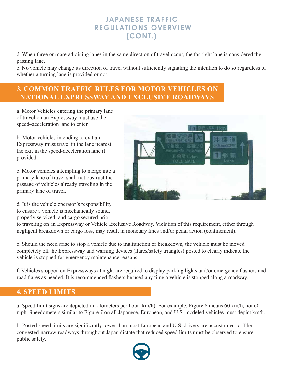d. When three or more adjoining lanes in the same direction of travel occur, the far right lane is considered the passing lane.

e. No vehicle may change its direction of travel without sufficiently signaling the intention to do so regardless of whether a turning lane is provided or not.

#### **3. COMMON TRAFFIC RULES FOR MOTOR VEHICLES ON NATIONAL EXPRESSWAY AND EXCLUSIVE ROADWAYS**

a. Motor Vehicles entering the primary lane of travel on an Expressway must use the speed–acceleration lane to enter.

b. Motor vehicles intending to exit an Expressway must travel in the lane nearest the exit in the speed-deceleration lane if provided.

c. Motor vehicles attempting to merge into a primary lane of travel shall not obstruct the passage of vehicles already traveling in the primary lane of travel.

d. It is the vehicle operator's responsibility to ensure a vehicle is mechanically sound, properly serviced, and cargo secured prior

to traveling on an Expressway or Vehicle Exclusive Roadway. Violation of this requirement, either through negligent breakdown or cargo loss, may result in monetary fines and/or penal action (confinement).

e. Should the need arise to stop a vehicle due to malfunction or breakdown, the vehicle must be moved completely off the Expressway and warning devices (flares/safety triangles) posted to clearly indicate the vehicle is stopped for emergency maintenance reasons.

f. Vehicles stopped on Expressways at night are required to display parking lights and/or emergency flashers and road flares as needed. It is recommended flashers be used any time a vehicle is stopped along a roadway.

#### **4. SPEED LIMITS**

a. Speed limit signs are depicted in kilometers per hour (km/h). For example, Figure 6 means 60 km/h, not 60 mph. Speedometers similar to Figure 7 on all Japanese, European, and U.S. modeled vehicles must depict km/h.

b. Posted speed limits are significantly lower than most European and U.S. drivers are accustomed to. The congested-narrow roadways throughout Japan dictate that reduced speed limits must be observed to ensure public safety.



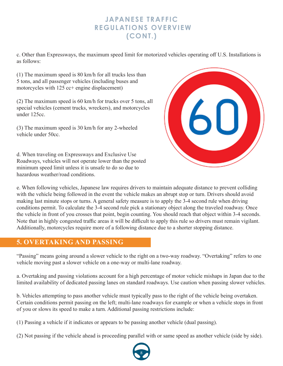c. Other than Expressways, the maximum speed limit for motorized vehicles operating off U.S. Installations is as follows:

(1) The maximum speed is 80 km/h for all trucks less than 5 tons, and all passenger vehicles (including buses and motorcycles with 125 cc+ engine displacement)

(2) The maximum speed is 60 km/h for trucks over 5 tons, all special vehicles (cement trucks, wreckers), and motorcycles under 125cc.

(3) The maximum speed is 30 km/h for any 2-wheeled vehicle under 50cc.

d. When traveling on Expressways and Exclusive Use Roadways, vehicles will not operate lower than the posted minimum speed limit unless it is unsafe to do so due to hazardous weather/road conditions.



e. When following vehicles, Japanese law requires drivers to maintain adequate distance to prevent colliding with the vehicle being followed in the event the vehicle makes an abrupt stop or turn. Drivers should avoid making last minute stops or turns. A general safety measure is to apply the 3-4 second rule when driving conditions permit. To calculate the 3-4 second rule pick a stationary object along the traveled roadway. Once the vehicle in front of you crosses that point, begin counting. You should reach that object within 3-4 seconds. Note that in highly congested traffic areas it will be difficult to apply this rule so drivers must remain vigilant. Additionally, motorcycles require more of a following distance due to a shorter stopping distance.

#### **5. OVERTAKING AND PASSING**

"Passing" means going around a slower vehicle to the right on a two-way roadway. "Overtaking" refers to one vehicle moving past a slower vehicle on a one-way or multi-lane roadway.

a. Overtaking and passing violations account for a high percentage of motor vehicle mishaps in Japan due to the limited availability of dedicated passing lanes on standard roadways. Use caution when passing slower vehicles.

b. Vehicles attempting to pass another vehicle must typically pass to the right of the vehicle being overtaken. Certain conditions permit passing on the left; multi-lane roadways for example or when a vehicle stops in front of you or slows its speed to make a turn. Additional passing restrictions include:

(1) Passing a vehicle if it indicates or appears to be passing another vehicle (dual passing).

(2) Not passing if the vehicle ahead is proceeding parallel with or same speed as another vehicle (side by side).

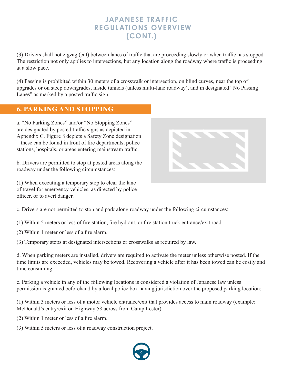(3) Drivers shall not zigzag (cut) between lanes of traffic that are proceeding slowly or when traffic has stopped. The restriction not only applies to intersections, but any location along the roadway where traffic is proceeding at a slow pace.

(4) Passing is prohibited within 30 meters of a crosswalk or intersection, on blind curves, near the top of upgrades or on steep downgrades, inside tunnels (unless multi-lane roadway), and in designated "No Passing Lanes" as marked by a posted traffic sign.

#### **6. PARKING AND STOPPING**

a. "No Parking Zones" and/or "No Stopping Zones" are designated by posted traffic signs as depicted in Appendix C. Figure 8 depicts a Safety Zone designation – these can be found in front of fire departments, police stations, hospitals, or areas entering mainstream traffic.

b. Drivers are permitted to stop at posted areas along the roadway under the following circumstances:

(1) When executing a temporary stop to clear the lane of travel for emergency vehicles, as directed by police officer, or to avert danger.



c. Drivers are not permitted to stop and park along roadway under the following circumstances:

(1) Within 5 meters or less of fire station, fire hydrant, or fire station truck entrance/exit road.

(2) Within 1 meter or less of a fire alarm.

(3) Temporary stops at designated intersections or crosswalks as required by law.

d. When parking meters are installed, drivers are required to activate the meter unless otherwise posted. If the time limits are exceeded, vehicles may be towed. Recovering a vehicle after it has been towed can be costly and time consuming.

e. Parking a vehicle in any of the following locations is considered a violation of Japanese law unless permission is granted beforehand by a local police box having jurisdiction over the proposed parking location:

(1) Within 3 meters or less of a motor vehicle entrance/exit that provides access to main roadway (example: McDonald's entry/exit on Highway 58 across from Camp Lester).

(2) Within 1 meter or less of a fire alarm.

(3) Within 5 meters or less of a roadway construction project.

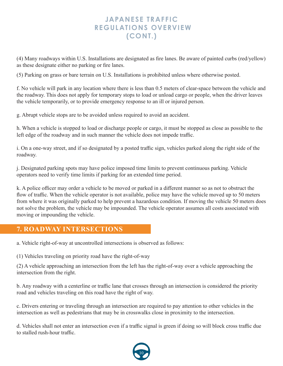(4) Many roadways within U.S. Installations are designated as fire lanes. Be aware of painted curbs (red/yellow) as these designate either no parking or fire lanes.

(5) Parking on grass or bare terrain on U.S. Installations is prohibited unless where otherwise posted.

f. No vehicle will park in any location where there is less than 0.5 meters of clear-space between the vehicle and the roadway. This does not apply for temporary stops to load or unload cargo or people, when the driver leaves the vehicle temporarily, or to provide emergency response to an ill or injured person.

g. Abrupt vehicle stops are to be avoided unless required to avoid an accident.

h. When a vehicle is stopped to load or discharge people or cargo, it must be stopped as close as possible to the left edge of the roadway and in such manner the vehicle does not impede traffic.

i. On a one-way street, and if so designated by a posted traffic sign, vehicles parked along the right side of the roadway.

j. Designated parking spots may have police imposed time limits to prevent continuous parking. Vehicle operators need to verify time limits if parking for an extended time period.

k. A police officer may order a vehicle to be moved or parked in a different manner so as not to obstruct the flow of traffic. When the vehicle operator is not available, police may have the vehicle moved up to 50 meters from where it was originally parked to help prevent a hazardous condition. If moving the vehicle 50 meters does not solve the problem, the vehicle may be impounded. The vehicle operator assumes all costs associated with moving or impounding the vehicle.

#### **7. ROADWAY INTERSECTIONS**

a. Vehicle right-of-way at uncontrolled intersections is observed as follows:

(1) Vehicles traveling on priority road have the right-of-way

(2) A vehicle approaching an intersection from the left has the right-of-way over a vehicle approaching the intersection from the right.

b. Any roadway with a centerline or traffic lane that crosses through an intersection is considered the priority road and vehicles traveling on this road have the right of way.

c. Drivers entering or traveling through an intersection are required to pay attention to other vehicles in the intersection as well as pedestrians that may be in crosswalks close in proximity to the intersection.

d. Vehicles shall not enter an intersection even if a traffic signal is green if doing so will block cross traffic due to stalled rush-hour traffic.

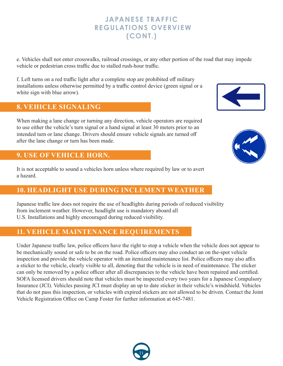e. Vehicles shall not enter crosswalks, railroad crossings, or any other portion of the road that may impede vehicle or pedestrian cross traffic due to stalled rush-hour traffic.

f. Left turns on a red traffic light after a complete stop are prohibited off military installations unless otherwise permitted by a traffic control device (green signal or a white sign with blue arrow).

#### **8. VEHICLE SIGNALING**

When making a lane change or turning any direction, vehicle operators are required to use either the vehicle's turn signal or a hand signal at least 30 meters prior to an intended turn or lane change. Drivers should ensure vehicle signals are turned off after the lane change or turn has been made.

#### **9. USE OF VEHICLE HORN.**

It is not acceptable to sound a vehicles horn unless where required by law or to avert a hazard.

#### **10. HEADLIGHT USE DURING INCLEMENT WEATHER**

Japanese traffic law does not require the use of headlights during periods of reduced visibility from inclement weather. However, headlight use is mandatory aboard all U.S. Installations and highly encouraged during reduced visibility.

#### **11. VEHICLE MAINTENANCE REQUIREMENTS**

Under Japanese traffic law, police officers have the right to stop a vehicle when the vehicle does not appear to be mechanically sound or safe to be on the road. Police officers may also conduct an on the-spot vehicle inspection and provide the vehicle operator with an itemized maintenance list. Police officers may also affix a sticker to the vehicle, clearly visible to all, denoting that the vehicle is in need of maintenance. The sticker can only be removed by a police officer after all discrepancies to the vehicle have been repaired and certified. SOFA licensed drivers should note that vehicles must be inspected every two years for a Japanese Compulsory Insurance (JCI). Vehicles passing JCI must display an up to date sticker in their vehicle's windshield. Vehicles that do not pass this inspection, or vehicles with expired stickers are not allowed to be driven. Contact the Joint Vehicle Registration Office on Camp Foster for further information at 645-7481.





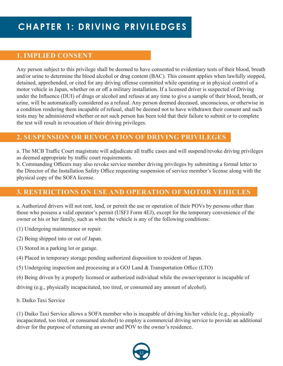#### **1. IMPLIED CONSENT**

Any person subject to this privilege shall be deemed to have consented to evidentiary tests of their blood, breath and/or urine to determine the blood alcohol or drug content (BAC). This consent applies when lawfully stopped, detained, apprehended, or cited for any driving offense committed while operating or in physical control of a motor vehicle in Japan, whether on or off a military installation. If a licensed driver is suspected of Driving under the Influence (DUI) of drugs or alcohol and refuses at any time to give a sample of their blood, breath, or urine, will be automatically considered as a refusal. Any person deemed deceased, unconscious, or otherwise in a condition rendering them incapable of refusal, shall be deemed not to have withdrawn their consent and such tests may be administered whether or not such person has been told that their failure to submit or to complete the test will result in revocation of their driving privileges.

#### **2. SUSPENSION OR REVOCATION OF DRIVING PRIVILEGES**

a. The MCB Traffic Court magistrate will adjudicate all traffic cases and will suspend/revoke driving privileges as deemed appropriate by traffic court requirements.

b. Commanding Officers may also revoke service member driving privileges by submitting a formal letter to the Director of the Installation Safety Office requesting suspension of service member's license along with the physical copy of the SOFA license.

#### **3. RESTRICTIONS ON USE AND OPERATION OF MOTOR VEHICLES**

a. Authorized drivers will not rent, lend, or permit the use or operation of their POVs by persons other than those who possess a valid operator's permit (USFJ Form 4EJ), except for the temporary convenience of the owner or his or her family, such as when the vehicle is any of the following conditions:

(1) Undergoing maintenance or repair.

- (2) Being shipped into or out of Japan.
- (3) Stored in a parking lot or garage.
- (4) Placed in temporary storage pending authorized disposition to resident of Japan.
- (5) Undergoing inspection and processing at a GOJ Land & Transportation Office (LTO)
- (6) Being driven by a properly licensed or authorized individual while the owner/operator is incapable of

driving (e.g., physically incapacitated, too tired, or consumed any amount of alcohol).

b. Daiko Taxi Service

(1) Daiko Taxi Service allows a SOFA member who is incapable of driving his/her vehicle (e.g., physically incapacitated, too tired, or consumed alcohol) to employ a commercial driving service to provide an additional driver for the purpose of returning an owner and POV to the owner's residence.

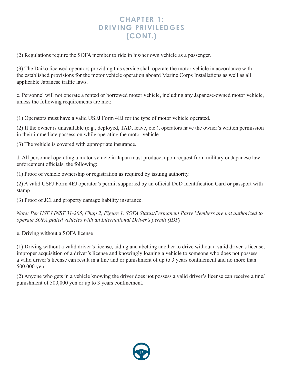#### **CHAPTER 1: DRIVING PRIVILEDGES (CONT.)**

(2) Regulations require the SOFA member to ride in his/her own vehicle as a passenger.

(3) The Daiko licensed operators providing this service shall operate the motor vehicle in accordance with the established provisions for the motor vehicle operation aboard Marine Corps Installations as well as all applicable Japanese traffic laws.

c. Personnel will not operate a rented or borrowed motor vehicle, including any Japanese-owned motor vehicle, unless the following requirements are met:

(1) Operators must have a valid USFJ Form 4EJ for the type of motor vehicle operated.

(2) If the owner is unavailable (e.g., deployed, TAD, leave, etc.), operators have the owner's written permission in their immediate possession while operating the motor vehicle.

(3) The vehicle is covered with appropriate insurance.

d. All personnel operating a motor vehicle in Japan must produce, upon request from military or Japanese law enforcement officials, the following:

(1) Proof of vehicle ownership or registration as required by issuing authority.

(2) A valid USFJ Form 4EJ operator's permit supported by an official DoD Identification Card or passport with stamp

(3) Proof of JCI and property damage liability insurance.

*Note: Per USFJ INST 31-205, Chap 2, Figure 1. SOFA Status/Permanent Party Members are not authorized to operate SOFA plated vehicles with an International Driver's permit (IDP)*

e. Driving without a SOFA license

(1) Driving without a valid driver's license, aiding and abetting another to drive without a valid driver's license, improper acquisition of a driver's license and knowingly loaning a vehicle to someone who does not possess a valid driver's license can result in a fine and or punishment of up to 3 years confinement and no more than 500,000 yen.

(2) Anyone who gets in a vehicle knowing the driver does not possess a valid driver's license can receive a fine/ punishment of 500,000 yen or up to 3 years confinement.

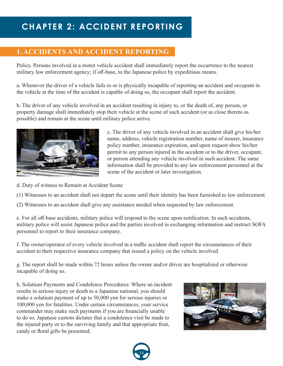## **CHAPTER 2: ACCIDENT REPORTING**

#### **1. ACCIDENTS AND ACCIDENT REPORTING**

Policy. Persons involved in a motor vehicle accident shall immediately report the occurrence to the nearest military law enforcement agency; if off-base, to the Japanese police by expeditious means.

a. Whenever the driver of a vehicle fails to or is physically incapable of reporting an accident and occupant in the vehicle at the time of the accident is capable of doing so, the occupant shall report the accident.

b. The driver of any vehicle involved in an accident resulting in injury to, or the death of, any person, or property damage shall immediately stop their vehicle at the scene of such accident (or as close thereto as possible) and remain at the scene until military police arrive.



c. The driver of any vehicle involved in an accident shall give his/her name, address, vehicle registration number, name of insurer, insurance policy number, insurance expiration, and upon request show his/her permit to any person injured in the accident or to the driver, occupant, or person attending any vehicle involved in such accident. The same information shall be provided to any law enforcement personnel at the scene of the accident or later investigation.

d. Duty of witness to Remain at Accident Scene

(1) Witnesses to an accident shall not depart the scene until their identity has been furnished to law enforcement.

(2) Witnesses to an accident shall give any assistance needed when requested by law enforcement.

e. For all off-base accidents, military police will respond to the scene upon notification. In such accidents, military police will assist Japanese police and the parties involved in exchanging information and instruct SOFA personnel to report to their insurance company.

f. The owner/operator of every vehicle involved in a traffic accident shall report the circumstances of their accident to their respective insurance company that issued a policy on the vehicle involved.

g. The report shall be made within 72 hours unless the owner and/or driver are hospitalized or otherwise incapable of doing so.

h. Solatium Payments and Condolence Procedures: Where an incident results in serious injury or death to a Japanese national, you should make a solatium payment of up to 50,000 yen for serious injuries or 100,000 yen for fatalities. Under certain circumstances, your service commander may make such payments if you are financially unable to do so. Japanese custom dictates that a condolence visit be made to the injured party or to the surviving family and that appropriate fruit, candy or floral gifts be presented.



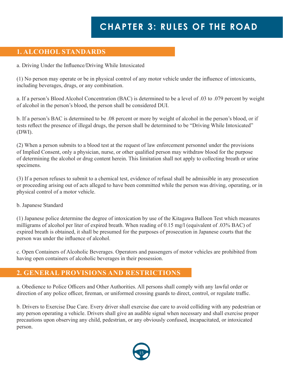## **CHAPTER 3: RULES OF THE ROAD**

#### **1. ALCOHOL STANDARDS**

a. Driving Under the Influence/Driving While Intoxicated

(1) No person may operate or be in physical control of any motor vehicle under the influence of intoxicants, including beverages, drugs, or any combination.

a. If a person's Blood Alcohol Concentration (BAC) is determined to be a level of .03 to .079 percent by weight of alcohol in the person's blood, the person shall be considered DUI.

b. If a person's BAC is determined to be .08 percent or more by weight of alcohol in the person's blood, or if tests reflect the presence of illegal drugs, the person shall be determined to be "Driving While Intoxicated" (DWI).

(2) When a person submits to a blood test at the request of law enforcement personnel under the provisions of Implied Consent, only a physician, nurse, or other qualified person may withdraw blood for the purpose of determining the alcohol or drug content herein. This limitation shall not apply to collecting breath or urine specimens.

(3) If a person refuses to submit to a chemical test, evidence of refusal shall be admissible in any prosecution or proceeding arising out of acts alleged to have been committed while the person was driving, operating, or in physical control of a motor vehicle.

#### b. Japanese Standard

(1) Japanese police determine the degree of intoxication by use of the Kitagawa Balloon Test which measures milligrams of alcohol per liter of expired breath. When reading of 0.15 mg/l (equivalent of .03% BAC) of expired breath is obtained, it shall be presumed for the purposes of prosecution in Japanese courts that the person was under the influence of alcohol.

c. Open Containers of Alcoholic Beverages. Operators and passengers of motor vehicles are prohibited from having open containers of alcoholic beverages in their possession.

#### **2. GENERAL PROVISIONS AND RESTRICTIONS**

a. Obedience to Police Officers and Other Authorities. All persons shall comply with any lawful order or direction of any police officer, fireman, or uniformed crossing guards to direct, control, or regulate traffic.

b. Drivers to Exercise Due Care. Every driver shall exercise due care to avoid colliding with any pedestrian or any person operating a vehicle. Drivers shall give an audible signal when necessary and shall exercise proper precautions upon observing any child, pedestrian, or any obviously confused, incapacitated, or intoxicated person.

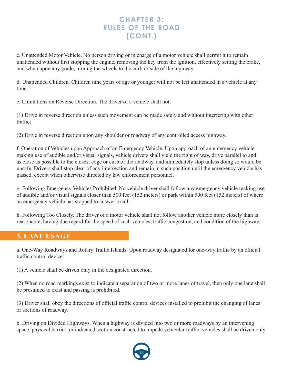c. Unattended Motor Vehicle. No person driving or in charge of a motor vehicle shall permit it to remain unattended without first stopping the engine, removing the key from the ignition, effectively setting the brake, and when upon any grade, turning the wheels to the curb or side of the highway.

d. Unattended Children. Children nine years of age or younger will not be left unattended in a vehicle at any time.

e. Limitations on Reverse Direction. The driver of a vehicle shall not:

(1) Drive in reverse direction unless such movement can be made safely and without interfering with other traffic;

(2) Drive in reverse direction upon any shoulder or roadway of any controlled access highway.

f. Operation of Vehicles upon Approach of an Emergency Vehicle. Upon approach of an emergency vehicle making use of audible and/or visual signals, vehicle drivers shall yield the right of way, drive parallel to and as close as possible to the closest edge or curb of the roadway, and immediately stop unless doing so would be unsafe. Drivers shall stop clear of any intersection and remain in such position until the emergency vehicle has passed, except when otherwise directed by law enforcement personnel.

g. Following Emergency Vehicles Prohibited. No vehicle driver shall follow any emergency vehicle making use of audible and/or visual signals closer than 500 feet (152 meters) or park within 500 feet (152 meters) of where an emergency vehicle has stopped to answer a call.

h. Following Too Closely. The driver of a motor vehicle shall not follow another vehicle more closely than is reasonable, having due regard for the speed of such vehicles, traffic congestion, and condition of the highway.

#### **3. LANE USAGE**

a. One-Way Roadways and Rotary Traffic Islands. Upon roadway designated for one-way traffic by an official traffic control device:

(1) A vehicle shall be driven only in the designated direction.

(2) When no road markings exist to indicate a separation of two or more lanes of travel, then only one lane shall be presumed to exist and passing is prohibited.

(3) Driver shall obey the directions of official traffic control devices installed to prohibit the changing of lanes or sections of roadway.

b. Driving on Divided Highways. When a highway is divided into two or more roadways by an intervening space, physical barrier, or indicated section constructed to impede vehicular traffic; vehicles shall be driven only

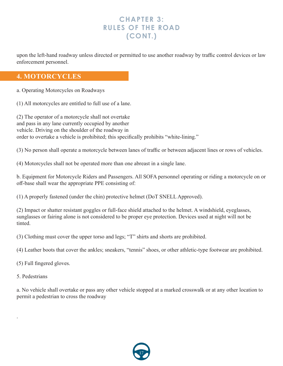upon the left-hand roadway unless directed or permitted to use another roadway by traffic control devices or law enforcement personnel.

#### **4. MOTORCYCLES**

a. Operating Motorcycles on Roadways

(1) All motorcycles are entitled to full use of a lane.

(2) The operator of a motorcycle shall not overtake and pass in any lane currently occupied by another vehicle. Driving on the shoulder of the roadway in order to overtake a vehicle is prohibited; this specifically prohibits "white-lining."

(3) No person shall operate a motorcycle between lanes of traffic or between adjacent lines or rows of vehicles.

(4) Motorcycles shall not be operated more than one abreast in a single lane.

b. Equipment for Motorcycle Riders and Passengers. All SOFA personnel operating or riding a motorcycle on or off-base shall wear the appropriate PPE consisting of:

(1) A properly fastened (under the chin) protective helmet (DoT SNELL Approved).

(2) Impact or shatter resistant goggles or full-face shield attached to the helmet. A windshield, eyeglasses, sunglasses or fairing alone is not considered to be proper eye protection. Devices used at night will not be tinted.

(3) Clothing must cover the upper torso and legs; "T" shirts and shorts are prohibited.

(4) Leather boots that cover the ankles; sneakers, "tennis" shoes, or other athletic-type footwear are prohibited.

(5) Full fingered gloves.

5. Pedestrians

.

a. No vehicle shall overtake or pass any other vehicle stopped at a marked crosswalk or at any other location to permit a pedestrian to cross the roadway

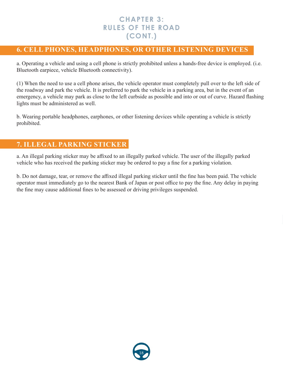#### **6. CELL PHONES, HEADPHONES, OR OTHER LISTENING DEVICES**

a. Operating a vehicle and using a cell phone is strictly prohibited unless a hands-free device is employed. (i.e. Bluetooth earpiece, vehicle Bluetooth connectivity).

(1) When the need to use a cell phone arises, the vehicle operator must completely pull over to the left side of the roadway and park the vehicle. It is preferred to park the vehicle in a parking area, but in the event of an emergency, a vehicle may park as close to the left curbside as possible and into or out of curve. Hazard flashing lights must be administered as well.

b. Wearing portable headphones, earphones, or other listening devices while operating a vehicle is strictly prohibited.

#### **7. ILLEGAL PARKING STICKER**

a. An illegal parking sticker may be affixed to an illegally parked vehicle. The user of the illegally parked vehicle who has received the parking sticker may be ordered to pay a fine for a parking violation.

b. Do not damage, tear, or remove the affixed illegal parking sticker until the fine has been paid. The vehicle operator must immediately go to the nearest Bank of Japan or post office to pay the fine. Any delay in paying the fine may cause additional fines to be assessed or driving privileges suspended.

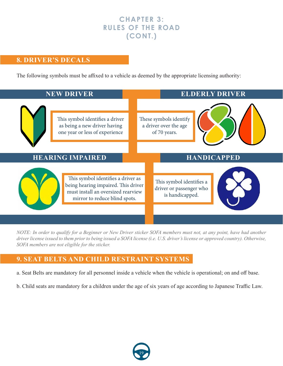#### **8. DRIVER'S DECALS**

The following symbols must be affixed to a vehicle as deemed by the appropriate licensing authority:



*NOTE: In order to qualify for a Beginner or New Driver sticker SOFA members must not, at any point, have had another driver license issued to them prior to being issued a SOFA license (i.e. U.S. driver's license or approved country). Otherwise, SOFA members are not eligible for the sticker.*

#### **9. SEAT BELTS AND CHILD RESTRAINT SYSTEMS**

- a. Seat Belts are mandatory for all personnel inside a vehicle when the vehicle is operational; on and off base.
- b. Child seats are mandatory for a children under the age of six years of age according to Japanese Traffic Law.

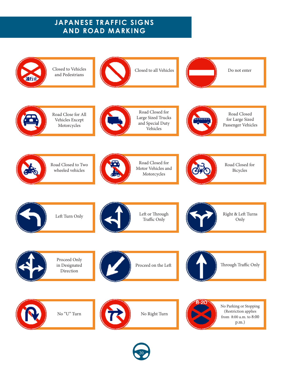Closed to Vehicles Closed to all Vehicles Do not enter and Pedestrians 通过 Road Closed for Road Closed Road Close for All Large Sized Trucks Vehicles Except for Large Sized EBEBER and Special Duty Passenger Vehicles Motorcycles Vehicles Road Closed for Road Closed to Two Road Closed for Motor Vehicles and wheeled vehicles Bicycles Motorcycles Left or Through Right & Left Turns Left Turn Only Traffic Only Only Proceed Only Through Traffic Only in Designated Proceed on the Left Direction No Parking or Stopping (Restriction applies No "U" Turn No Right Turn from 8:00 a.m. to 8:00 p.m.)

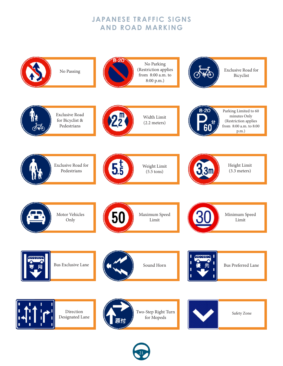

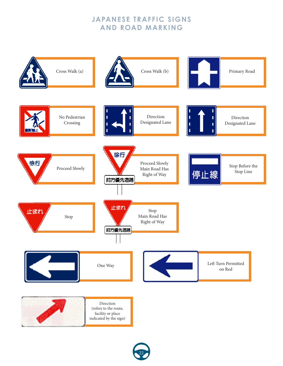

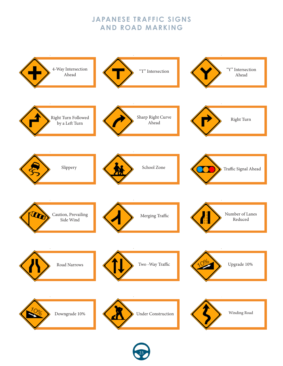

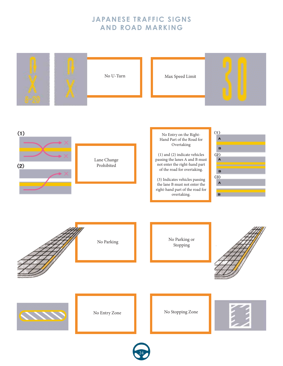